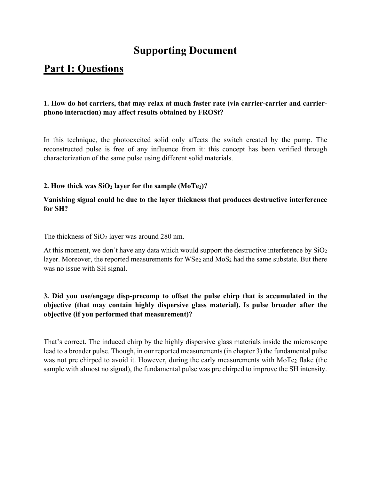# **Supporting Document**

# **Part I: Questions**

# **1. How do hot carriers, that may relax at much faster rate (via carrier-carrier and carrierphono interaction) may affect results obtained by FROSt?**

In this technique, the photoexcited solid only affects the switch created by the pump. The reconstructed pulse is free of any influence from it: this concept has been verified through characterization of the same pulse using different solid materials.

### **2. How thick was SiO<sub>2</sub> layer for the sample (MoTe<sub>2</sub>)?**

## **Vanishing signal could be due to the layer thickness that produces destructive interference for SH?**

The thickness of SiO<sub>2</sub> layer was around 280 nm.

At this moment, we don't have any data which would support the destructive interference by  $SiO<sub>2</sub>$ layer. Moreover, the reported measurements for WSe2 and MoS2 had the same substate. But there was no issue with SH signal.

# **3. Did you use/engage disp-precomp to offset the pulse chirp that is accumulated in the objective (that may contain highly dispersive glass material). Is pulse broader after the objective (if you performed that measurement)?**

That's correct. The induced chirp by the highly dispersive glass materials inside the microscope lead to a broader pulse. Though, in our reported measurements (in chapter 3) the fundamental pulse was not pre chirped to avoid it. However, during the early measurements with MoTe<sub>2</sub> flake (the sample with almost no signal), the fundamental pulse was pre chirped to improve the SH intensity.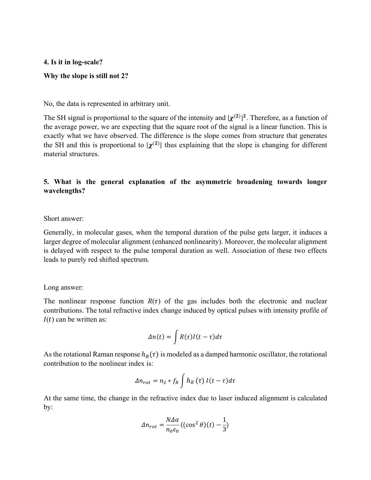**4. Is it in log-scale?** 

#### **Why the slope is still not 2?**

No, the data is represented in arbitrary unit.

The SH signal is proportional to the square of the intensity and  $|\chi^{(2)}|^2$ . Therefore, as a function of the average power, we are expecting that the square root of the signal is a linear function. This is exactly what we have observed. The difference is the slope comes from structure that generates the SH and this is proportional to  $|\chi^{(2)}|$  thus explaining that the slope is changing for different material structures.

# **5. What is the general explanation of the asymmetric broadening towards longer wavelengths?**

#### Short answer:

Generally, in molecular gases, when the temporal duration of the pulse gets larger, it induces a larger degree of molecular alignment (enhanced nonlinearity). Moreover, the molecular alignment is delayed with respect to the pulse temporal duration as well. Association of these two effects leads to purely red shifted spectrum.

#### Long answer:

The nonlinear response function  $R(\tau)$  of the gas includes both the electronic and nuclear contributions. The total refractive index change induced by optical pulses with intensity profile of  $I(t)$  can be written as:

$$
\Delta n(t) = \int R(\tau)I(t-\tau)d\tau
$$

As the rotational Raman response  $h_R(\tau)$  is modeled as a damped harmonic oscillator, the rotational contribution to the nonlinear index is:

$$
\Delta n_{rot} = n_2 * f_R \int h_R(\tau) I(t - \tau) d\tau
$$

At the same time, the change in the refractive index due to laser induced alignment is calculated by:

$$
\Delta n_{rot} = \frac{N\Delta\alpha}{n_0\epsilon_0} \left( (\cos^2\theta)(t) - \frac{1}{3} \right)
$$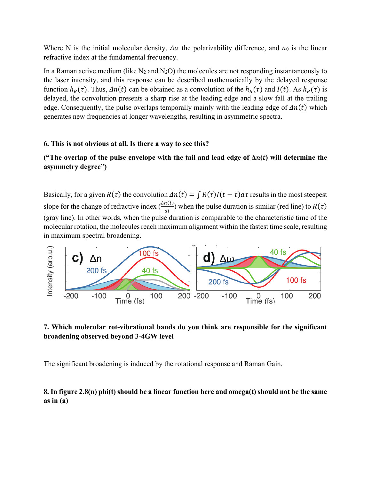Where N is the initial molecular density,  $\Delta \alpha$  the polarizability difference, and  $n_0$  is the linear refractive index at the fundamental frequency.

In a Raman active medium (like  $N_2$  and  $N_2O$ ) the molecules are not responding instantaneously to the laser intensity, and this response can be described mathematically by the delayed response function  $h_R(\tau)$ . Thus,  $\Delta n(t)$  can be obtained as a convolution of the  $h_R(\tau)$  and  $I(t)$ . As  $h_R(\tau)$  is delayed, the convolution presents a sharp rise at the leading edge and a slow fall at the trailing edge. Consequently, the pulse overlaps temporally mainly with the leading edge of  $\Delta n(t)$  which generates new frequencies at longer wavelengths, resulting in asymmetric spectra.

### **6. This is not obvious at all. Is there a way to see this?**

# **("The overlap of the pulse envelope with the tail and lead edge of Δ() will determine the asymmetry degree")**

Basically, for a given  $R(\tau)$  the convolution  $\Delta n(t) = \int R(\tau)I(t - \tau) d\tau$  results in the most steepest slope for the change of refractive index  $\left(\frac{\Delta n(t)}{dt}\right)$  when the pulse duration is similar (red line) to  $R(\tau)$ (gray line). In other words, when the pulse duration is comparable to the characteristic time of the molecular rotation, the molecules reach maximum alignment within the fastest time scale, resulting in maximum spectral broadening.



# **7. Which molecular rot-vibrational bands do you think are responsible for the significant broadening observed beyond 3-4GW level**

The significant broadening is induced by the rotational response and Raman Gain.

# **8. In figure 2.8(n) phi(t) should be a linear function here and omega(t) should not be the same as in (a)**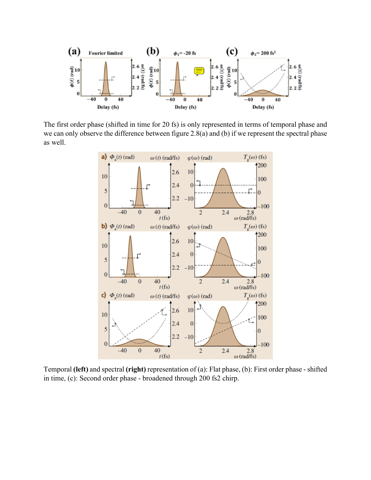

The first order phase (shifted in time for 20 fs) is only represented in terms of temporal phase and we can only observe the difference between figure 2.8(a) and (b) if we represent the spectral phase as well.



Temporal **(left)** and spectral **(right)** representation of (a): Flat phase, (b): First order phase - shifted in time, (c): Second order phase - broadened through 200 fs2 chirp.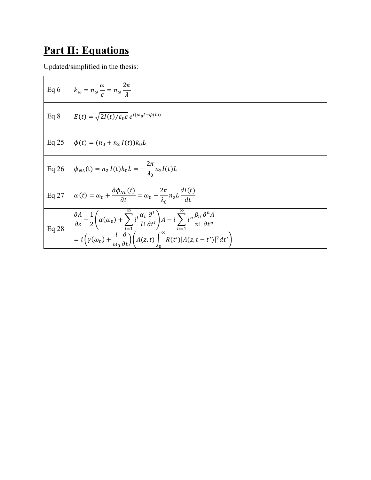# **Part II: Equations**

Updated/simplified in the thesis:

|        | Eq 6 $k_{\omega} = n_{\omega} \frac{\omega}{c} = n_{\omega} \frac{2\pi}{\lambda}$                                                                                                                                                                                                                                                                                                                                            |
|--------|------------------------------------------------------------------------------------------------------------------------------------------------------------------------------------------------------------------------------------------------------------------------------------------------------------------------------------------------------------------------------------------------------------------------------|
| Eq $8$ | $E(t) = \sqrt{2I(t)/\varepsilon_0 c} e^{i(\omega_0 t - \phi(t))}$                                                                                                                                                                                                                                                                                                                                                            |
|        | Eq 25 $\phi(t) = (n_0 + n_2 I(t))k_0L$                                                                                                                                                                                                                                                                                                                                                                                       |
|        | Eq 26 $\phi_{NL}(t) = n_2 I(t) k_0 L = -\frac{2\pi}{\lambda_0} n_2 I(t) L$                                                                                                                                                                                                                                                                                                                                                   |
|        | Eq 27 $\omega(t) = \omega_0 + \frac{\partial \phi_{NL}(t)}{\partial t} = \omega_0 - \frac{2\pi}{\lambda_0} n_2 L \frac{dI(t)}{dt}$                                                                                                                                                                                                                                                                                           |
|        | $\Big $ Eq 28 $\Bigg  \frac{\partial A}{\partial z} + \frac{1}{2} \Bigg( \alpha(\omega_0) + \sum_{l=1}^{\infty} i^l \frac{\alpha_l}{l!} \frac{\partial^l}{\partial t^l} \Bigg) A - i \sum_{n=1}^{\infty} i^n \frac{\beta_n}{n!} \frac{\partial^n A}{\partial t^n}$<br>$= i \left( \gamma(\omega_0) + \frac{i}{\omega_0} \frac{\partial}{\partial t} \right) \left( A(z, t) \int_0^\infty R(t')  A(z, t - t') ^2 dt' \right)$ |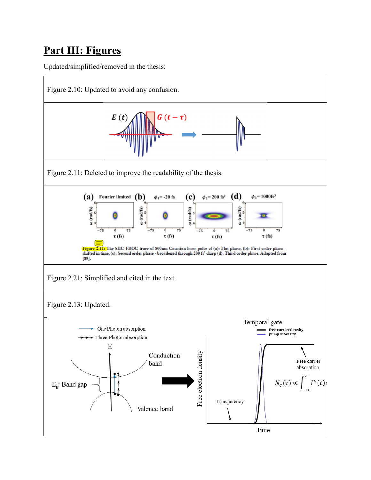# **Part III: Figures**

Updated/simplified/removed in the thesis: